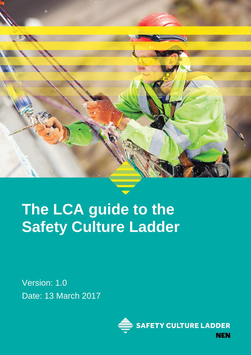

# **The LCA guide to the Safety Culture Ladder**

Version: 1.0 Date: 13 March 2017

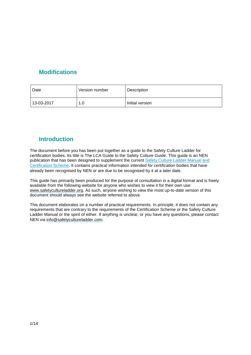# <span id="page-1-0"></span>**Modifications**

| Date       | Version number | Description     |
|------------|----------------|-----------------|
| 13-03-2017 | 1.0            | Initial version |

# <span id="page-1-1"></span>**Introduction**

The document before you has been put together as a guide to the Safety Culture Ladder for certification bodies. Its title is The LCA Guide to the Safety Culture Guide. This guide is an NEN publication that has been designed to supplement the current Safety Culture Ladder [Manual](http://www.veiligheidsladder.org/nl/documenten/) and [Certification](http://www.veiligheidsladder.org/nl/documenten/) Scheme. It contains practical information intended for certification bodies that have already been recognised by NEN or are due to be recognised by it at a later date.

This guide has primarily been produced for the purpose of consultation in a digital format and is freely available from the following website for anyone who wishes to view it for their own use: [www.safetycultureladder.org.](http://www.safetycultureladder.org/) As such, anyone wishing to view the most up-to-date version of this document should always see the website referred to above.

This document elaborates on a number of practical requirements. In principle, it does not contain any requirements that are contrary to the requirements of the Certification Scheme or the Safety Culture Ladder Manual or the spirit of either. If anything is unclear, or you have any questions, please contact NEN via [info@safetycultureladder.com](mailto:info@safetycultureladder.com).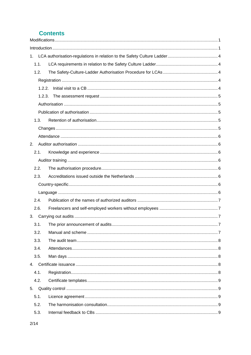# **Contents**

| 1.     |  |
|--------|--|
| 1.1.   |  |
| 1.2.   |  |
|        |  |
| 1.2.2. |  |
| 1.2.3. |  |
|        |  |
|        |  |
| 1.3.   |  |
|        |  |
|        |  |
| 2.     |  |
| 2.1.   |  |
|        |  |
| 2.2.   |  |
| 2.3.   |  |
|        |  |
|        |  |
| 2.4.   |  |
| 2.6.   |  |
|        |  |
| 3.1.   |  |
| 3.2.   |  |
| 3.3.   |  |
| 3.4.   |  |
| 3.5.   |  |
|        |  |
| 4.1.   |  |
| 4.2.   |  |
| 5.     |  |
| 5.1.   |  |
| 5.2.   |  |
| 5.3.   |  |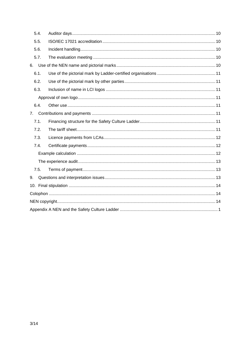| 5.4.           |  |  |
|----------------|--|--|
| 5.5.           |  |  |
| 5.6.           |  |  |
| 5.7.           |  |  |
| 6.             |  |  |
| 6.1.           |  |  |
| 6.2.           |  |  |
| 6.3.           |  |  |
|                |  |  |
| 6.4.           |  |  |
| 7 <sub>1</sub> |  |  |
| 7.1.           |  |  |
| 7.2.           |  |  |
| 7.3.           |  |  |
| 7.4.           |  |  |
|                |  |  |
|                |  |  |
| 7.5.           |  |  |
| 9.             |  |  |
|                |  |  |
|                |  |  |
|                |  |  |
|                |  |  |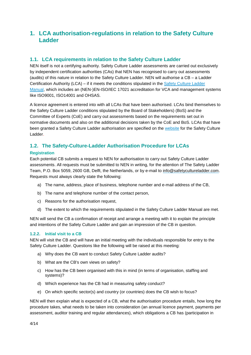# <span id="page-4-0"></span>**1. LCA authorisation-regulations in relation to the Safety Culture Ladder**

# <span id="page-4-1"></span>**1.1. LCA requirements in relation to the Safety Culture Ladder**

NEN itself is not a certifying authority. Safety Culture Ladder assessments are carried out exclusively by independent certification authorities (CAs) that NEN has recognised to carry out assessments (audits) of this nature in relation to the Safety Culture Ladder. NEN will authorise a CB – a Ladder Certification Authority (LCA) – if it meets the conditions stipulated in the Safety [Culture](http://www.veiligheidsladder.org/nl/documenten/) Ladder [Manual,](http://www.veiligheidsladder.org/nl/documenten/) which includes an (NEN-)EN-ISO/IEC 17021 accreditation for VCA and management systems like ISO9001, ISO14001 and OHSAS.

A licence agreement is entered into with all LCAs that have been authorised. LCAs bind themselves to the Safety Culture Ladder conditions stipulated by the Board of Stakeholders) (BoS) and the Committee of Experts (CoE) and carry out assessments based on the requirements set out in normative documents and also on the additional decisions taken by the CoE and BoS. LCAs that have been granted a Safety Culture Ladder authorisation are specified on the [website](http://www.veiligheidsladder.org/) for the Safety Culture Ladder.

# <span id="page-4-2"></span>**1.2. The Safety-Culture-Ladder Authorisation Procedure for LCAs**

#### <span id="page-4-3"></span>**Registration**

Each potential CB submits a request to NEN for authorisation to carry out Safety Culture Ladder assessments. All requests must be submitted to NEN in writing, for the attention of The Safety Ladder Team, P.O. Box 5059, 2600 GB, Delft, the Netherlands, or by e-mail to [info@safetycultureladder.com.](mailto:info@safetycultureladder.com) Requests must always clearly state the following:

- a) The name, address, place of business, telephone number and e-mail address of the CB,
- b) The name and telephone number of the contact person,
- c) Reasons for the authorisation request,
- d) The extent to which the requirements stipulated in the Safety Culture Ladder Manual are met.

NEN will send the CB a confirmation of receipt and arrange a meeting with it to explain the principle and intentions of the Safety Culture Ladder and gain an impression of the CB in question.

#### <span id="page-4-4"></span>**1.2.2. Initial visit to a CB**

NEN will visit the CB and will have an initial meeting with the individuals responsible for entry to the Safety Culture Ladder. Questions like the following will be raised at this meeting:

- a) Why does the CB want to conduct Safety Culture Ladder audits?
- b) What are the CB's own views on safety?
- c) How has the CB been organised with this in mind (in terms of organisation, staffing and systems)?
- d) Which experience has the CB had in measuring safety conduct?
- e) On which specific sector(s) and country (or countries) does the CB wish to focus?

NEN will then explain what is expected of a CB, what the authorisation procedure entails, how long the procedure takes, what needs to be taken into consideration (an annual licence payment, payments per assessment, auditor training and regular attendances), which obligations a CB has (participation in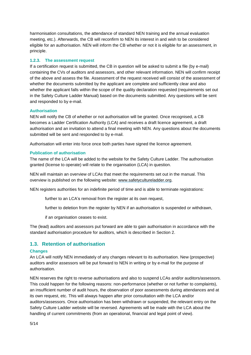harmonisation consultations, the attendance of standard NEN training and the annual evaluation meeting, etc.). Afterwards, the CB will reconfirm to NEN its interest in and wish to be considered eligible for an authorisation. NEN will inform the CB whether or not it is eligible for an assessment, in principle.

#### <span id="page-5-0"></span>**1.2.3. The assessment request**

If a certification request is submitted, the CB in question will be asked to submit a file (by e-mail) containing the CVs of auditors and assessors, and other relevant information. NEN will confirm receipt of the above and assess the file. Assessment of the request received will consist of the assessment of whether the documents submitted by the applicant are complete and sufficiently clear and also whether the applicant falls within the scope of the quality declaration requested (requirements set out in the Safety Culture Ladder Manual) based on the documents submitted. Any questions will be sent and responded to by e-mail.

#### <span id="page-5-1"></span>**Authorisation**

NEN will notify the CB of whether or not authorisation will be granted. Once recognised, a CB becomes a Ladder Certification Authority (LCA) and receives a draft licence agreement, a draft authorisation and an invitation to attend a final meeting with NEN. Any questions about the documents submitted will be sent and responded to by e-mail.

Authorisation will enter into force once both parties have signed the licence agreement.

#### <span id="page-5-2"></span>**Publication of authorisation**

The name of the LCA will be added to the website for the Safety Culture Ladder. The authorisation granted (license to operate) will relate to the organisation (LCA) in question.

NEN will maintain an overview of LCAs that meet the requirements set out in the manual. This overview is published on the following website: [www.safetycultureladder.org.](http://www.safetycultureladder.org/)

NEN registers authorities for an indefinite period of time and is able to terminate registrations:

further to an LCA's removal from the register at its own request,

further to deletion from the register by NEN if an authorisation is suspended or withdrawn,

if an organisation ceases to exist.

The (lead) auditors and assessors put forward are able to gain authorisation in accordance with the standard authorisation procedure for auditors, which is described in Section 2.

## <span id="page-5-3"></span>**1.3. Retention of authorisation**

#### <span id="page-5-4"></span>**Changes**

An LCA will notify NEN immediately of any changes relevant to its authorisation. New (prospective) auditors and/or assessors will be put forward to NEN in writing or by e-mail for the purpose of authorisation.

NEN reserves the right to reverse authorisations and also to suspend LCAs and/or auditors/assessors. This could happen for the following reasons: non-performance (whether or not further to complaints), an insufficient number of audit hours, the observation of poor assessments during attendances and at its own request, etc. This will always happen after prior consultation with the LCA and/or auditors/assessors. Once authorisation has been withdrawn or suspended, the relevant entry on the Safety Culture Ladder website will be reversed. Agreements will be made with the LCA about the handling of current commitments (from an operational, financial and legal point of view).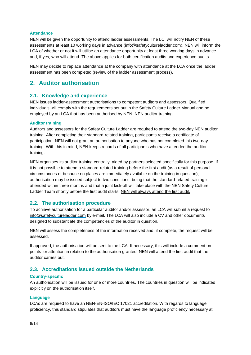#### <span id="page-6-0"></span>**Attendance**

NEN will be given the opportunity to attend ladder assessments. The LCI will notify NEN of these assessments at least 10 working days in advance [\(info@safetycultureladder.com\)](mailto:info@safetycultureladder.com). NEN will inform the LCA of whether or not it will utilise an attendance opportunity at least three working days in advance and, if yes, who will attend. The above applies for both certification audits and experience audits.

NEN may decide to replace attendance at the company with attendance at the LCA once the ladder assessment has been completed (review of the ladder assessment process).

# <span id="page-6-2"></span><span id="page-6-1"></span>**2. Auditor authorisation**

#### **2.1. Knowledge and experience**

NEN issues ladder-assessment authorisations to competent auditors and assessors. Qualified individuals will comply with the requirements set out in the Safety Culture Ladder Manual and be employed by an LCA that has been authorised by NEN. NEN auditor training

#### <span id="page-6-3"></span>**Auditor training**

Auditors and assessors for the Safety Culture Ladder are required to attend the two-day NEN auditor training. After completing their standard-related training, participants receive a certificate of participation. NEN will not grant an authorisation to anyone who has not completed this two-day training. With this in mind, NEN keeps records of all participants who have attended the auditor training.

NEN organises its auditor training centrally, aided by partners selected specifically for this purpose. If it is not possible to attend a standard-related training before the first audit (as a result of personal circumstances or because no places are immediately available on the training in question), authorisation may be issued subject to two conditions, being that the standard-related training is attended within three months and that a joint kick-off will take place with the NEN Safety Culture Ladder Team shortly before the first audit starts. NEN will always attend the first audit.

#### <span id="page-6-4"></span>**2.2. The authorisation procedure**

To achieve authorisation for a particular auditor and/or assessor, an LCA will submit a request to [info@safetycultureladder.com](mailto:info@safetycultureladder.com) by e-mail. The LCA will also include a CV and other documents designed to substantiate the competencies of the auditor in question.

NEN will assess the completeness of the information received and, if complete, the request will be assessed.

If approved, the authorisation will be sent to the LCA. If necessary, this will include a comment on points for attention in relation to the authorisation granted. NEN will attend the first audit that the auditor carries out.

## <span id="page-6-5"></span>**2.3. Accreditations issued outside the Netherlands**

#### <span id="page-6-6"></span>**Country-specific**

An authorisation will be issued for one or more countries. The countries in question will be indicated explicitly on the authorisation itself.

#### <span id="page-6-7"></span>**Language**

LCAs are required to have an NEN-EN-ISO/IEC 17021 accreditation. With regards to language proficiency, this standard stipulates that auditors must have the language proficiency necessary at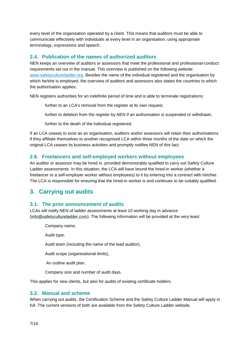every level of the organisation operated by a client. This means that auditors must be able to communicate effectively with individuals at every level in an organisation, using appropriate terminology, expressions and speech.

## <span id="page-7-0"></span>**2.4. Publication of the names of authorized auditors**

NEN keeps an overview of auditors or assessors that meet the professional and professional-conduct requirements set out in the manual. This overview is published on the following website: [www.safetycultureladder.org.](http://www.veiligheidsladder.org/) Besides the name of the individual registered and the organisation by which he/she is employed, the overview of auditors and assessors also states the countries to which the authorisation applies.

NEN registers authorities for an indefinite period of time and is able to terminate registrations:

further to an LCA's removal from the register at its own request,

further to deletion from the register by NEN if an authorisation is suspended or withdrawn,

further to the death of the individual registered.

If an LCA ceases to exist as an organisation, auditors and/or assessors will retain their authorisations if they affiliate themselves to another recognised LCA within three months of the date on which the original LCA ceases its business activities and promptly notifies NEN of this fact.

## <span id="page-7-1"></span>**2.6. Freelancers and self-employed workers without employees**

An auditor or assessor may be hired in, provided demonstrably qualified to carry out Safety Culture Ladder assessments. In this situation, the LCA will have bound the hired-in worker (whether a freelancer or a self-employer worker without employees) to it by entering into a contract with him/her. The LCA is responsible for ensuring that the hired-in worker is and continues to be suitably qualified.

# <span id="page-7-3"></span><span id="page-7-2"></span>**3. Carrying out audits**

## **3.1. The prior announcement of audits**

LCAs will notify NEN of ladder assessments at least 10 working day in advance [\(info@safetycultureladder.com\)](mailto:info@safetycultureladder.com). The following information will be provided at the very least:

Company name,

Audit type,

Audit team (including the name of the lead auditor),

Audit scope (organisational limits),

An outline audit plan,

Company size and number of audit days.

This applies for new clients, but also for audits of existing certificate holders.

#### <span id="page-7-4"></span>**3.2. Manual and scheme**

When carrying out audits, the Certification Scheme and the Safety Culture Ladder Manual will apply in full. The current versions of both are available from the Safety Culture Ladder website.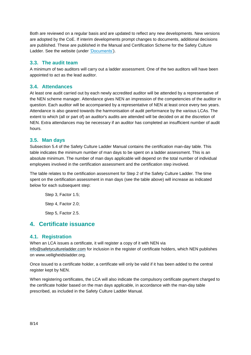Both are reviewed on a regular basis and are updated to reflect any new developments. New versions are adopted by the CoE. If interim developments prompt changes to documents, additional decisions are published. These are published in the Manual and Certification Scheme for the Safety Culture Ladder. See the website (under ['Documents'\)](http://www.veiligheidsladder.org/nl/documenten/).

## <span id="page-8-0"></span>**3.3. The audit team**

A minimum of two auditors will carry out a ladder assessment. One of the two auditors will have been appointed to act as the lead auditor.

#### <span id="page-8-1"></span>**3.4. Attendances**

At least one audit carried out by each newly accredited auditor will be attended by a representative of the NEN scheme manager. Attendance gives NEN an impression of the competencies of the auditor in question. Each auditor will be accompanied by a representative of NEN at least once every two years. Attendance is also geared towards the harmonisation of audit performance by the various LCAs. The extent to which (all or part of) an auditor's audits are attended will be decided on at the discretion of NEN. Extra attendances may be necessary if an auditor has completed an insufficient number of audit hours.

#### <span id="page-8-2"></span>**3.5. Man days**

Subsection 5.4 of the Safety Culture Ladder Manual contains the certification man-day table. This table indicates the minimum number of man days to be spent on a ladder assessment. This is an absolute minimum. The number of man days applicable will depend on the total number of individual employees involved in the certification assessment and the certification step involved.

The table relates to the certification assessment for Step 2 of the Safety Culture Ladder. The time spent on the certification assessment in man days (see the table above) will increase as indicated below for each subsequent step:

Step 3, Factor 1.5; Step 4, Factor 2.0; Step 5, Factor 2.5.

# <span id="page-8-4"></span><span id="page-8-3"></span>**4. Certificate issuance**

## **4.1. Registration**

When an LCA issues a certificate, it will register a copy of it with NEN via [info@safetycultureladder.com](mailto:info@safetycultureladder.com) for inclusion in the register of certificate holders, which NEN publishes on www.veiligheidsladder.org.

Once issued to a certificate holder, a certificate will only be valid if it has been added to the central register kept by NEN.

When registering certificates, the LCA will also indicate the compulsory certificate payment charged to the certificate holder based on the man days applicable, in accordance with the man-day table prescribed, as included in the Safety Culture Ladder Manual.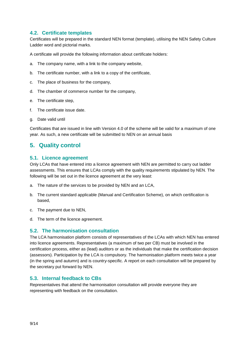## <span id="page-9-0"></span>**4.2. Certificate templates**

Certificates will be prepared in the standard NEN format (template), utilising the NEN Safety Culture Ladder word and pictorial marks.

A certificate will provide the following information about certificate holders:

- a. The company name, with a link to the company website,
- b. The certificate number, with a link to a copy of the certificate,
- c. The place of business for the company,
- d. The chamber of commerce number for the company,
- e. The certificate step,
- f. The certificate issue date.
- g. Date valid until

Certificates that are issued in line with Version 4.0 of the scheme will be valid for a maximum of one year. As such, a new certificate will be submitted to NEN on an annual basis

# <span id="page-9-2"></span><span id="page-9-1"></span>**5. Quality control**

#### **5.1. Licence agreement**

Only LCAs that have entered into a licence agreement with NEN are permitted to carry out ladder assessments. This ensures that LCAs comply with the quality requirements stipulated by NEN. The following will be set out in the licence agreement at the very least:

- a. The nature of the services to be provided by NEN and an LCA,
- b. The current standard applicable (Manual and Certification Scheme), on which certification is based,
- c. The payment due to NEN,
- d. The term of the licence agreement.

## <span id="page-9-3"></span>**5.2. The harmonisation consultation**

The LCA harmonisation platform consists of representatives of the LCAs with which NEN has entered into licence agreements. Representatives (a maximum of two per CB) must be involved in the certification process, either as (lead) auditors or as the individuals that make the certification decision (assessors). Participation by the LCA is compulsory. The harmonisation platform meets twice a year (in the spring and autumn) and is country-specific. A report on each consultation will be prepared by the secretary put forward by NEN.

## <span id="page-9-4"></span>**5.3. Internal feedback to CBs**

Representatives that attend the harmonisation consultation will provide everyone they are representing with feedback on the consultation.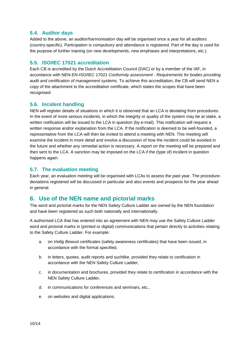## <span id="page-10-0"></span>**5.4. Auditor days**

Added to the above, an auditor/harmonisation day will be organised once a year for all auditors (country-specific). Participation is compulsory and attendance is registered. Part of the day is used for the purpose of further training (on new developments, new emphases and interpretations, etc.).

## <span id="page-10-1"></span>**5.5. ISO/IEC 17021 accreditation**

Each CB is accredited by the Dutch Accreditation Council (DAC) or by a member of the IAF, in accordance with NEN-EN-ISO/IEC 17021 *Conformity assessment - Requirements for bodies providing audit and certification of management systems.* To achieve this accreditation, the CB will send NEN a copy of the attachment to the accreditation certificate, which states the scopes that have been recognised.

## <span id="page-10-2"></span>**5.6. Incident handling**

NEN will register details of situations in which it is observed that an LCA is deviating from procedures. In the event of more serious incidents, in which the integrity or quality of the system may be at stake, a written notification will be issued to the LCA in question (by e-mail). This notification will request a written response and/or explanation from the LCA. If the notification is deemed to be well-founded, a representative from the LCA will then be invited to attend a meeting with NEN. This meeting will examine the incident in more detail and involve a discussion of how the incident could be avoided in the future and whether any remedial action is necessary. A report on the meeting will be prepared and then sent to the LCA. A sanction may be imposed on the LCA if the (type of) incident in question happens again.

## <span id="page-10-3"></span>**5.7. The evaluation meeting**

Each year, an evaluation meeting will be organised with LCAs to assess the past year. The proceduredeviations registered will be discussed in particular and also events and prospects for the year ahead in general.

# <span id="page-10-4"></span>**6. Use of the NEN name and pictorial marks**

The word and pictorial marks for the NEN Safety Culture Ladder are owned by the NEN foundation and have been registered as such both nationally and internationally.

A authorised LCA that has entered into an agreement with NEN may use the Safety Culture Ladder word and pictorial marks in (printed or digital) communications that pertain directly to activities relating to the Safety Culture Ladder. For example:

- a. on *Veilig Bewust* certificates (safety awareness certificates) that have been issued, in accordance with the format specified,
- b. in letters, quotes, audit reports and suchlike, provided they relate to certification in accordance with the NEN Safety Culture Ladder,
- c. in documentation and brochures, provided they relate to certification in accordance with the NEN Safety Culture Ladder,
- d. in communications for conferences and seminars, etc.,
- e. on websites and digital applications.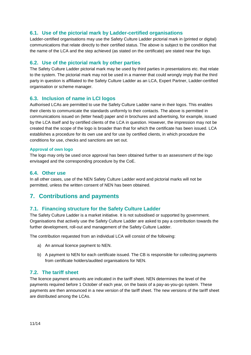# <span id="page-11-0"></span>**6.1. Use of the pictorial mark by Ladder-certified organisations**

Ladder-certified organisations may use the Safety Culture Ladder pictorial mark in (printed or digital) communications that relate directly to their certified status. The above is subject to the condition that the name of the LCA and the step achieved (as stated on the certificate) are stated near the logo.

#### <span id="page-11-1"></span>**6.2. Use of the pictorial mark by other parties**

The Safety Culture Ladder pictorial mark may be used by third parties in presentations etc. that relate to the system. The pictorial mark may not be used in a manner that could wrongly imply that the third party in question is affiliated to the Safety Culture Ladder as an LCA, Expert Partner, Ladder-certified organisation or scheme manager.

#### <span id="page-11-2"></span>**6.3. Inclusion of name in LCI logos**

Authorised LCAs are permitted to use the Safety Culture Ladder name in their logos. This enables their clients to communicate the standards uniformly to their contacts. The above is permitted in communications issued on (letter head) paper and in brochures and advertising, for example, issued by the LCA itself and by certified clients of the LCA in question. However, the impression may not be created that the scope of the logo is broader than that for which the certificate has been issued. LCA establishes a procedure for its own use and for use by certified clients, in which procedure the conditions for use, checks and sanctions are set out.

#### <span id="page-11-3"></span>**Approval of own logo**

The logo may only be used once approval has been obtained further to an assessment of the logo envisaged and the corresponding procedure by the CoE.

#### <span id="page-11-4"></span>**6.4. Other use**

In all other cases, use of the NEN Safety Culture Ladder word and pictorial marks will not be permitted, unless the written consent of NEN has been obtained.

# <span id="page-11-6"></span><span id="page-11-5"></span>**7. Contributions and payments**

## **7.1. Financing structure for the Safety Culture Ladder**

The Safety Culture Ladder is a market initiative. It is not subsidised or supported by government. Organisations that actively use the Safety Culture Ladder are asked to pay a contribution towards the further development, roll-out and management of the Safety Culture Ladder.

The contribution requested from an individual LCA will consist of the following:

- a) An annual licence payment to NEN.
- b) A payment to NEN for each certificate issued. The CB is responsible for collecting payments from certificate holders/audited organisations for NEN.

#### <span id="page-11-7"></span>**7.2. The tariff sheet**

The licence payment amounts are indicated in the tariff sheet. NEN determines the level of the payments required before 1 October of each year, on the basis of a pay-as-you-go system. These payments are then announced in a new version of the tariff sheet. The new versions of the tariff sheet are distributed among the LCAs.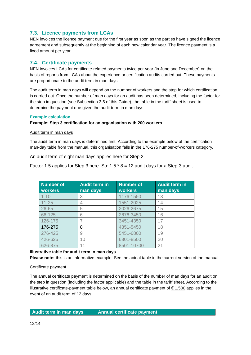# <span id="page-12-0"></span>**7.3. Licence payments from LCAs**

NEN invoices the licence payment due for the first year as soon as the parties have signed the licence agreement and subsequently at the beginning of each new calendar year. The licence payment is a fixed amount per year.

# <span id="page-12-1"></span>**7.4. Certificate payments**

NEN invoices LCAs for certificate-related payments twice per year (in June and December) on the basis of reports from LCAs about the experience or certification audits carried out. These payments are proportionate to the audit term in man days.

The audit term in man days will depend on the number of workers and the step for which certification is carried out. Once the number of man days for an audit has been determined, including the factor for the step in question (see Subsection 3.5 of this Guide), the table in the tariff sheet is used to determine the payment due given the audit term in man days.

#### <span id="page-12-2"></span>**Example calculation**

#### **Example: Step 3 certification for an organisation with 200 workers**

#### Audit term in man days

The audit term in man days is determined first. According to the example below of the certification man-day table from the manual, this organisation falls in the 176-275 number-of-workers category.

An audit term of eight man days applies here for Step 2.

Factor 1.5 applies for Step 3 here. So:  $1.5 * 8 = 12$  audit days for a Step-3 audit.

| <b>Number of</b><br><b>workers</b> | <b>Audit term in</b><br>man days | <b>Number of</b><br><b>workers</b> | <b>Audit term in</b><br>man days |
|------------------------------------|----------------------------------|------------------------------------|----------------------------------|
| $1 - 10$                           | 3                                | 1176-1550                          | 13                               |
| $11 - 25$                          | 4                                | 1551-2025                          | 14                               |
| $26 - 65$                          | 5                                | 2026-2675                          | 15                               |
| 66-125                             | 6                                | 2676-3450                          | 16                               |
| 126-175                            |                                  | 3451-4350                          | 17                               |
| 176-275                            | 8                                | 4351-5450                          | 18                               |
| 276-425                            | 9                                | 5451-6800                          | 19                               |
| 426-625                            | 10                               | 6801-8500                          | 20                               |
| 626-875                            |                                  | 8501-10700                         | 21                               |

## **Illustrative table for audit term in man days**

**Please note:** this is an informative example! See the actual table in the current version of the manual.

#### Certificate payment

The annual certificate payment is determined on the basis of the number of man days for an audit on the step in question (including the factor applicable) and the table in the tariff sheet. According to the illustrative certificate-payment table below, an annual certificate payment of  $\epsilon$  1,500 applies in the event of an audit term of 12 days.

#### **Audit term in man days Annual certificate payment**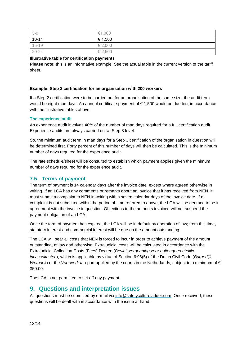| $3 - 9$   | €1,000      |
|-----------|-------------|
| $10 - 14$ | $\xi$ 1,500 |
| $15 - 19$ | $\xi$ 2,000 |
| $20 - 24$ | € 2,500     |

#### **Illustrative table for certification payments**

**Please note:** this is an informative example! See the actual table in the current version of the tariff sheet.

#### **Example: Step 2 certification for an organisation with 200 workers**

If a Step 2 certification were to be carried out for an organisation of the same size, the audit term would be eight man days. An annual certificate payment of € 1,500 would be due too, in accordance with the illustrative tables above.

#### <span id="page-13-0"></span>**The experience audit**

An experience audit involves 40% of the number of man days required for a full certification audit. Experience audits are always carried out at Step 3 level.

So, the minimum audit term in man days for a Step 3 certification of the organisation in question will be determined first. Forty percent of this number of days will then be calculated. This is the minimum number of days required for the experience audit.

The rate schedule/sheet will be consulted to establish which payment applies given the minimum number of days required for the experience audit.

#### <span id="page-13-1"></span>**7.5. Terms of payment**

The term of payment is 14 calendar days after the invoice date, except where agreed otherwise in writing. If an LCA has any comments or remarks about an invoice that it has received from NEN, it must submit a complaint to NEN in writing within seven calendar days of the invoice date. If a complaint is not submitted within the period of time referred to above, the LCA will be deemed to be in agreement with the invoice in question. Objections to the amounts invoiced will not suspend the payment obligation of an LCA.

Once the term of payment has expired, the LCA will be in default by operation of law; from this time, statutory interest and commercial interest will be due on the amount outstanding.

The LCA will bear all costs that NEN is forced to incur in order to achieve payment of the amount outstanding, at law and otherwise. Extrajudicial costs will be calculated in accordance with the Extrajudicial Collection Costs (Fees) Decree (*Besluit vergoeding voor buitengerechtelijke incassokosten*), which is applicable by virtue of Section 6:96(5) of the Dutch Civil Code (*Burgerlijk Wetboek*) or the *Voorwerk II* report applied by the courts in the Netherlands, subject to a minimum of € 350.00.

The LCA is not permitted to set off any payment.

# <span id="page-13-2"></span>**9. Questions and interpretation issues**

All questions must be submitted by e-mail via [info@safetycultureladder.com.](mailto:info@safetycultureladder.com) Once received, these questions will be dealt with in accordance with the issue at hand.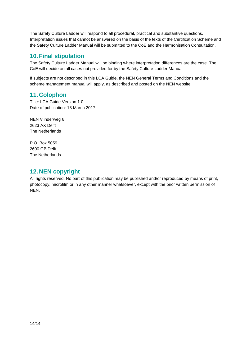The Safety Culture Ladder will respond to all procedural, practical and substantive questions. Interpretation issues that cannot be answered on the basis of the texts of the Certification Scheme and the Safety Culture Ladder Manual will be submitted to the CoE and the Harmonisation Consultation.

# <span id="page-14-0"></span>**10.Final stipulation**

The Safety Culture Ladder Manual will be binding where interpretation differences are the case. The CoE will decide on all cases not provided for by the Safety Culture Ladder Manual.

If subjects are not described in this LCA Guide, the NEN General Terms and Conditions and the scheme management manual will apply, as described and posted on the NEN website.

# <span id="page-14-1"></span>**11. Colophon**

Title: LCA Guide Version 1.0 Date of publication: 13 March 2017

NEN Vlinderweg 6 2623 AX Delft The Netherlands

P.O. Box 5059 2600 GB Delft The Netherlands

# <span id="page-14-2"></span>**12. NEN copyright**

All rights reserved. No part of this publication may be published and/or reproduced by means of print, photocopy, microfilm or in any other manner whatsoever, except with the prior written permission of NEN.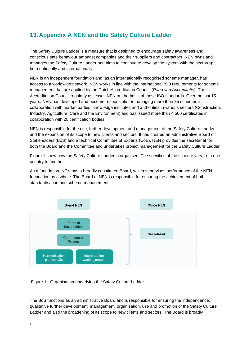# <span id="page-15-0"></span>**13. Appendix A NEN and the Safety Culture Ladder**

The Safety Culture Ladder is a measure that is designed to encourage safety awareness and conscious safe behaviour amongst companies and their suppliers and contractors. NEN owns and manages the Safety Culture Ladder and aims to continue to develop the system with the sector(s): both nationally and internationally.

NEN is an independent foundation and, as an internationally recognised scheme manager, has access to a worldwide network. NEN works in line with the international ISO requirements for scheme management that are applied by the Dutch Accreditation Council (*Raad van Accreditatie*). The Accreditation Council regularly assesses NEN on the basis of these ISO standards. Over the last 15 years, NEN has developed and become responsible for managing more than 35 schemes in collaboration with market parties, knowledge institutes and authorities in various sectors (Construction, Industry, Agriculture, Care and the Environment) and has issued more than 4,500 certificates in collaboration with 20 certification bodies.

NEN is responsible for the use, further development and management of the Safety Culture Ladder and the expansion of its scope to new clients and sectors. It has created an administrative Board of Stakeholders (BoS) and a technical Committee of Experts (CoE). NEN provides the secretariat for both the Board and the Committee and undertakes project management for the Safety Culture Ladder.

Figure 1 show how the Safety Culture Ladder is organised. The specifics of the scheme vary from one country to another.

As a foundation, NEN has a broadly constituted Board, which supervises performance of the NEN foundation as a whole. The Board at NEN is responsible for ensuring the achievement of both standardisation and scheme management.



Figure 1 - Organisation underlying the Safety Culture Ladder

The BoS functions as an administrative Board and is responsible for ensuring the independence, qualitative further development, management, organisation, use and promotion of the Safety Culture Ladder and also the broadening of its scope to new clients and sectors. The Board is broadly